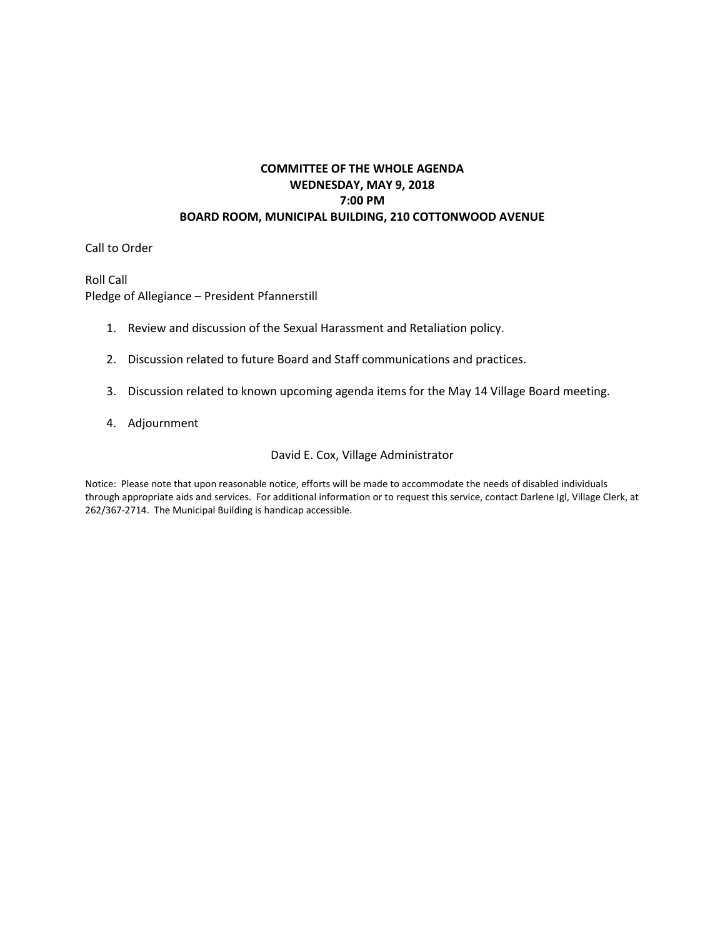#### **COMMITTEE OF THE WHOLE AGENDA WEDNESDAY, MAY 9, 2018 7:00 PM BOARD ROOM, MUNICIPAL BUILDING, 210 COTTONWOOD AVENUE**

Call to Order

Roll Call Pledge of Allegiance – President Pfannerstill

- 1. Review and discussion of the Sexual Harassment and Retaliation policy.
- 2. Discussion related to future Board and Staff communications and practices.
- 3. Discussion related to known upcoming agenda items for the May 14 Village Board meeting.
- 4. Adjournment

#### David E. Cox, Village Administrator

Notice: Please note that upon reasonable notice, efforts will be made to accommodate the needs of disabled individuals through appropriate aids and services. For additional information or to request this service, contact Darlene Igl, Village Clerk, at 262/367-2714. The Municipal Building is handicap accessible.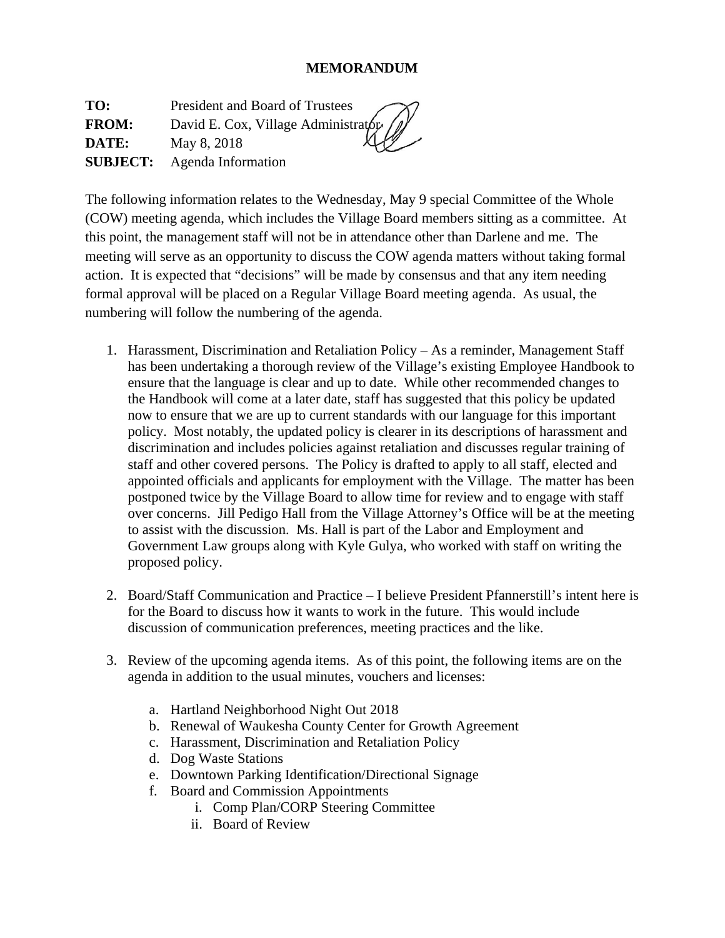## **MEMORANDUM**

**TO:** President and Board of Trustees **FROM:** David E. Cox, Village Administrator **DATE:** May 8, 2018 **SUBJECT:** Agenda Information

The following information relates to the Wednesday, May 9 special Committee of the Whole (COW) meeting agenda, which includes the Village Board members sitting as a committee. At this point, the management staff will not be in attendance other than Darlene and me. The meeting will serve as an opportunity to discuss the COW agenda matters without taking formal action. It is expected that "decisions" will be made by consensus and that any item needing formal approval will be placed on a Regular Village Board meeting agenda. As usual, the numbering will follow the numbering of the agenda.

- 1. Harassment, Discrimination and Retaliation Policy As a reminder, Management Staff has been undertaking a thorough review of the Village's existing Employee Handbook to ensure that the language is clear and up to date. While other recommended changes to the Handbook will come at a later date, staff has suggested that this policy be updated now to ensure that we are up to current standards with our language for this important policy. Most notably, the updated policy is clearer in its descriptions of harassment and discrimination and includes policies against retaliation and discusses regular training of staff and other covered persons. The Policy is drafted to apply to all staff, elected and appointed officials and applicants for employment with the Village. The matter has been postponed twice by the Village Board to allow time for review and to engage with staff over concerns. Jill Pedigo Hall from the Village Attorney's Office will be at the meeting to assist with the discussion. Ms. Hall is part of the Labor and Employment and Government Law groups along with Kyle Gulya, who worked with staff on writing the proposed policy.
- 2. Board/Staff Communication and Practice I believe President Pfannerstill's intent here is for the Board to discuss how it wants to work in the future. This would include discussion of communication preferences, meeting practices and the like.
- 3. Review of the upcoming agenda items. As of this point, the following items are on the agenda in addition to the usual minutes, vouchers and licenses:
	- a. Hartland Neighborhood Night Out 2018
	- b. Renewal of Waukesha County Center for Growth Agreement
	- c. Harassment, Discrimination and Retaliation Policy
	- d. Dog Waste Stations
	- e. Downtown Parking Identification/Directional Signage
	- f. Board and Commission Appointments
		- i. Comp Plan/CORP Steering Committee
		- ii. Board of Review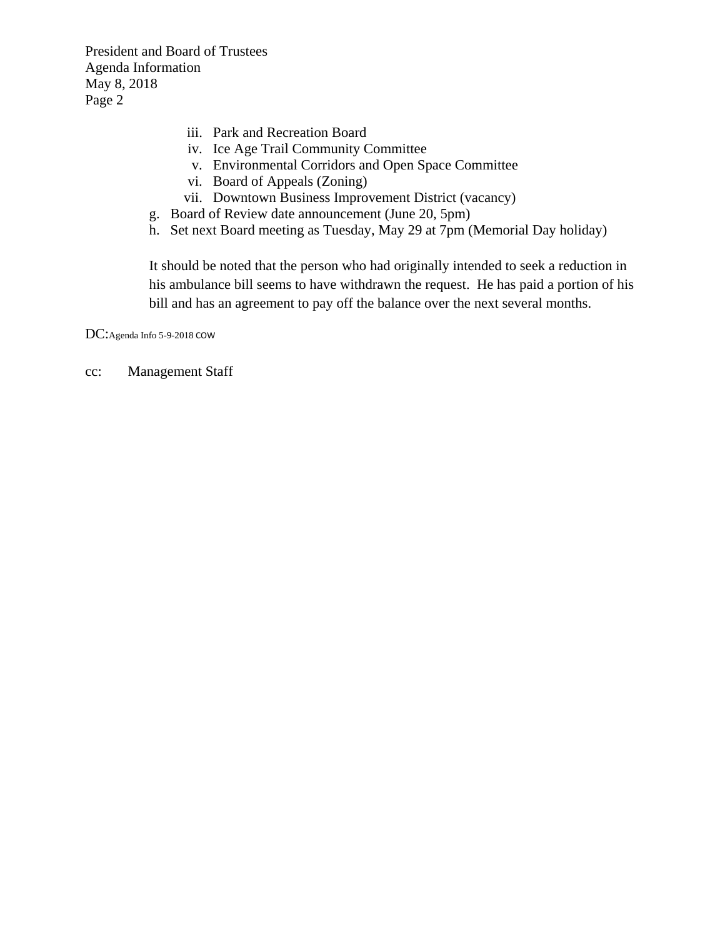President and Board of Trustees Agenda Information May 8, 2018 Page 2

- iii. Park and Recreation Board
- iv. Ice Age Trail Community Committee
- v. Environmental Corridors and Open Space Committee
- vi. Board of Appeals (Zoning)
- vii. Downtown Business Improvement District (vacancy)
- g. Board of Review date announcement (June 20, 5pm)
- h. Set next Board meeting as Tuesday, May 29 at 7pm (Memorial Day holiday)

It should be noted that the person who had originally intended to seek a reduction in his ambulance bill seems to have withdrawn the request. He has paid a portion of his bill and has an agreement to pay off the balance over the next several months.

DC:Agenda Info 5-9-2018 COW

cc: Management Staff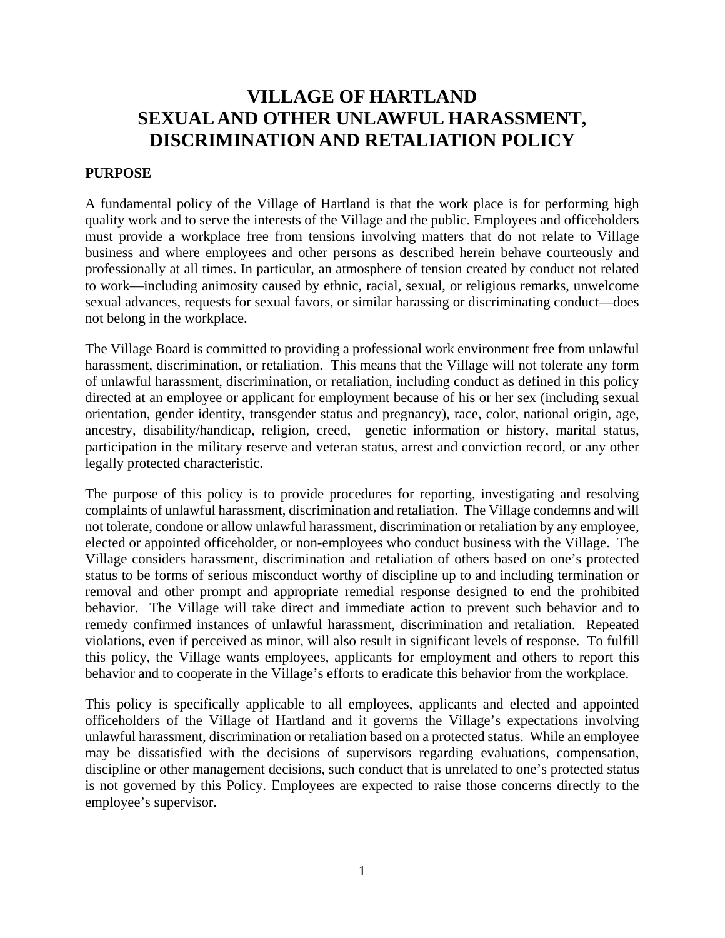# **VILLAGE OF HARTLAND SEXUAL AND OTHER UNLAWFUL HARASSMENT, DISCRIMINATION AND RETALIATION POLICY**

#### **PURPOSE**

A fundamental policy of the Village of Hartland is that the work place is for performing high quality work and to serve the interests of the Village and the public. Employees and officeholders must provide a workplace free from tensions involving matters that do not relate to Village business and where employees and other persons as described herein behave courteously and professionally at all times. In particular, an atmosphere of tension created by conduct not related to work—including animosity caused by ethnic, racial, sexual, or religious remarks, unwelcome sexual advances, requests for sexual favors, or similar harassing or discriminating conduct—does not belong in the workplace.

The Village Board is committed to providing a professional work environment free from unlawful harassment, discrimination, or retaliation. This means that the Village will not tolerate any form of unlawful harassment, discrimination, or retaliation, including conduct as defined in this policy directed at an employee or applicant for employment because of his or her sex (including sexual orientation, gender identity, transgender status and pregnancy), race, color, national origin, age, ancestry, disability/handicap, religion, creed, genetic information or history, marital status, participation in the military reserve and veteran status, arrest and conviction record, or any other legally protected characteristic.

The purpose of this policy is to provide procedures for reporting, investigating and resolving complaints of unlawful harassment, discrimination and retaliation. The Village condemns and will not tolerate, condone or allow unlawful harassment, discrimination or retaliation by any employee, elected or appointed officeholder, or non-employees who conduct business with the Village. The Village considers harassment, discrimination and retaliation of others based on one's protected status to be forms of serious misconduct worthy of discipline up to and including termination or removal and other prompt and appropriate remedial response designed to end the prohibited behavior. The Village will take direct and immediate action to prevent such behavior and to remedy confirmed instances of unlawful harassment, discrimination and retaliation. Repeated violations, even if perceived as minor, will also result in significant levels of response. To fulfill this policy, the Village wants employees, applicants for employment and others to report this behavior and to cooperate in the Village's efforts to eradicate this behavior from the workplace.

This policy is specifically applicable to all employees, applicants and elected and appointed officeholders of the Village of Hartland and it governs the Village's expectations involving unlawful harassment, discrimination or retaliation based on a protected status. While an employee may be dissatisfied with the decisions of supervisors regarding evaluations, compensation, discipline or other management decisions, such conduct that is unrelated to one's protected status is not governed by this Policy. Employees are expected to raise those concerns directly to the employee's supervisor.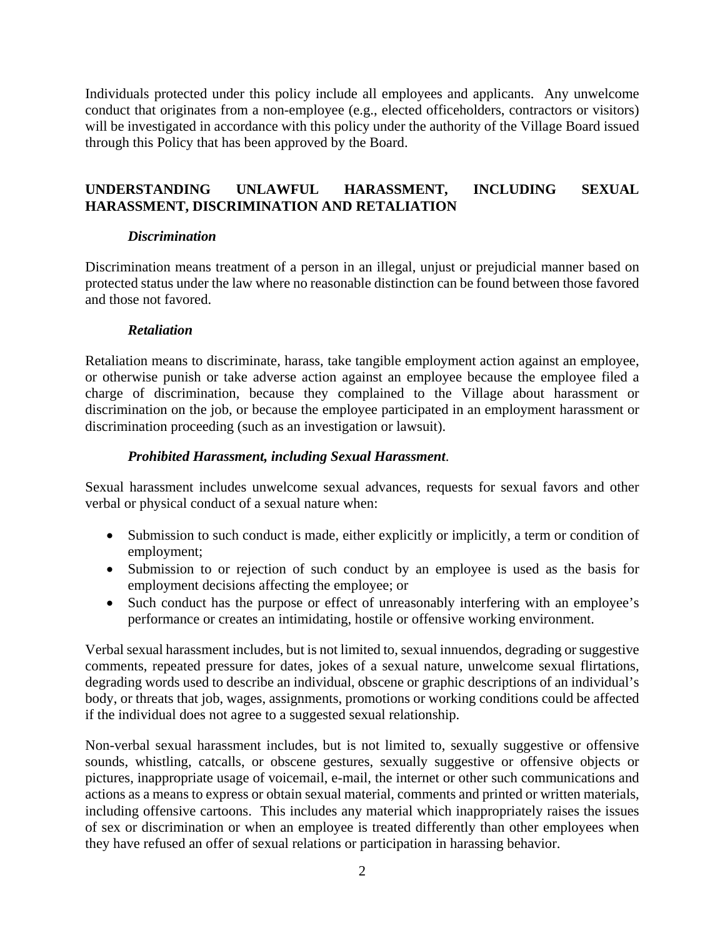Individuals protected under this policy include all employees and applicants. Any unwelcome conduct that originates from a non-employee (e.g., elected officeholders, contractors or visitors) will be investigated in accordance with this policy under the authority of the Village Board issued through this Policy that has been approved by the Board.

## **UNDERSTANDING UNLAWFUL HARASSMENT, INCLUDING SEXUAL HARASSMENT, DISCRIMINATION AND RETALIATION**

## *Discrimination*

Discrimination means treatment of a person in an illegal, unjust or prejudicial manner based on protected status under the law where no reasonable distinction can be found between those favored and those not favored.

## *Retaliation*

Retaliation means to discriminate, harass, take tangible employment action against an employee, or otherwise punish or take adverse action against an employee because the employee filed a charge of discrimination, because they complained to the Village about harassment or discrimination on the job, or because the employee participated in an employment harassment or discrimination proceeding (such as an investigation or lawsuit).

## *Prohibited Harassment, including Sexual Harassment*.

Sexual harassment includes unwelcome sexual advances, requests for sexual favors and other verbal or physical conduct of a sexual nature when:

- Submission to such conduct is made, either explicitly or implicitly, a term or condition of employment;
- Submission to or rejection of such conduct by an employee is used as the basis for employment decisions affecting the employee; or
- Such conduct has the purpose or effect of unreasonably interfering with an employee's performance or creates an intimidating, hostile or offensive working environment.

Verbal sexual harassment includes, but is not limited to, sexual innuendos, degrading or suggestive comments, repeated pressure for dates, jokes of a sexual nature, unwelcome sexual flirtations, degrading words used to describe an individual, obscene or graphic descriptions of an individual's body, or threats that job, wages, assignments, promotions or working conditions could be affected if the individual does not agree to a suggested sexual relationship.

Non-verbal sexual harassment includes, but is not limited to, sexually suggestive or offensive sounds, whistling, catcalls, or obscene gestures, sexually suggestive or offensive objects or pictures, inappropriate usage of voicemail, e-mail, the internet or other such communications and actions as a means to express or obtain sexual material, comments and printed or written materials, including offensive cartoons. This includes any material which inappropriately raises the issues of sex or discrimination or when an employee is treated differently than other employees when they have refused an offer of sexual relations or participation in harassing behavior.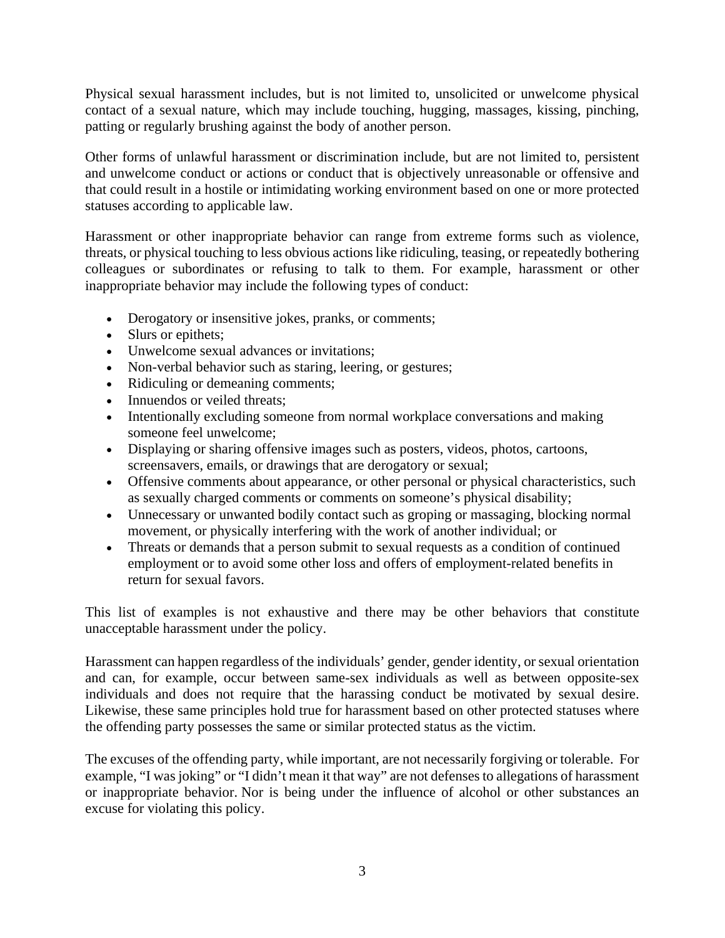Physical sexual harassment includes, but is not limited to, unsolicited or unwelcome physical contact of a sexual nature, which may include touching, hugging, massages, kissing, pinching, patting or regularly brushing against the body of another person.

Other forms of unlawful harassment or discrimination include, but are not limited to, persistent and unwelcome conduct or actions or conduct that is objectively unreasonable or offensive and that could result in a hostile or intimidating working environment based on one or more protected statuses according to applicable law.

Harassment or other inappropriate behavior can range from extreme forms such as violence, threats, or physical touching to less obvious actions like ridiculing, teasing, or repeatedly bothering colleagues or subordinates or refusing to talk to them. For example, harassment or other inappropriate behavior may include the following types of conduct:

- Derogatory or insensitive jokes, pranks, or comments;
- Slurs or epithets:
- Unwelcome sexual advances or invitations;
- Non-verbal behavior such as staring, leering, or gestures;
- Ridiculing or demeaning comments;
- Innuendos or veiled threats;
- Intentionally excluding someone from normal workplace conversations and making someone feel unwelcome;
- Displaying or sharing offensive images such as posters, videos, photos, cartoons, screensavers, emails, or drawings that are derogatory or sexual;
- Offensive comments about appearance, or other personal or physical characteristics, such as sexually charged comments or comments on someone's physical disability;
- Unnecessary or unwanted bodily contact such as groping or massaging, blocking normal movement, or physically interfering with the work of another individual; or
- Threats or demands that a person submit to sexual requests as a condition of continued employment or to avoid some other loss and offers of employment-related benefits in return for sexual favors.

This list of examples is not exhaustive and there may be other behaviors that constitute unacceptable harassment under the policy.

Harassment can happen regardless of the individuals' gender, gender identity, or sexual orientation and can, for example, occur between same-sex individuals as well as between opposite-sex individuals and does not require that the harassing conduct be motivated by sexual desire. Likewise, these same principles hold true for harassment based on other protected statuses where the offending party possesses the same or similar protected status as the victim.

The excuses of the offending party, while important, are not necessarily forgiving or tolerable. For example, "I was joking" or "I didn't mean it that way" are not defenses to allegations of harassment or inappropriate behavior. Nor is being under the influence of alcohol or other substances an excuse for violating this policy.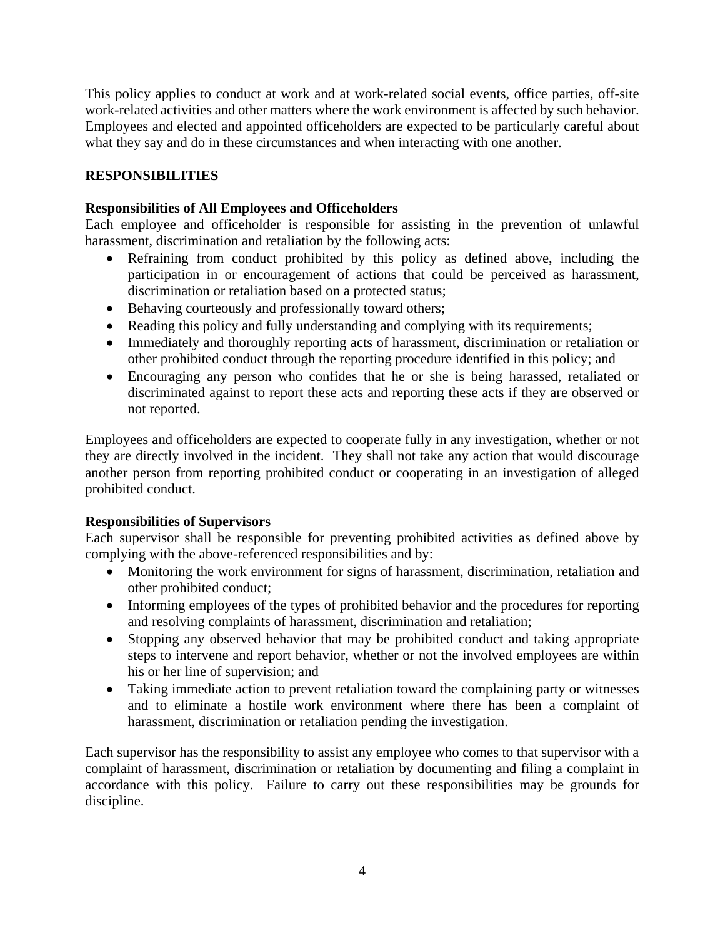This policy applies to conduct at work and at work-related social events, office parties, off-site work-related activities and other matters where the work environment is affected by such behavior. Employees and elected and appointed officeholders are expected to be particularly careful about what they say and do in these circumstances and when interacting with one another.

## **RESPONSIBILITIES**

## **Responsibilities of All Employees and Officeholders**

Each employee and officeholder is responsible for assisting in the prevention of unlawful harassment, discrimination and retaliation by the following acts:

- Refraining from conduct prohibited by this policy as defined above, including the participation in or encouragement of actions that could be perceived as harassment, discrimination or retaliation based on a protected status;
- Behaving courteously and professionally toward others;
- Reading this policy and fully understanding and complying with its requirements;
- Immediately and thoroughly reporting acts of harassment, discrimination or retaliation or other prohibited conduct through the reporting procedure identified in this policy; and
- Encouraging any person who confides that he or she is being harassed, retaliated or discriminated against to report these acts and reporting these acts if they are observed or not reported.

Employees and officeholders are expected to cooperate fully in any investigation, whether or not they are directly involved in the incident. They shall not take any action that would discourage another person from reporting prohibited conduct or cooperating in an investigation of alleged prohibited conduct.

## **Responsibilities of Supervisors**

Each supervisor shall be responsible for preventing prohibited activities as defined above by complying with the above-referenced responsibilities and by:

- Monitoring the work environment for signs of harassment, discrimination, retaliation and other prohibited conduct;
- Informing employees of the types of prohibited behavior and the procedures for reporting and resolving complaints of harassment, discrimination and retaliation;
- Stopping any observed behavior that may be prohibited conduct and taking appropriate steps to intervene and report behavior, whether or not the involved employees are within his or her line of supervision; and
- Taking immediate action to prevent retaliation toward the complaining party or witnesses and to eliminate a hostile work environment where there has been a complaint of harassment, discrimination or retaliation pending the investigation.

Each supervisor has the responsibility to assist any employee who comes to that supervisor with a complaint of harassment, discrimination or retaliation by documenting and filing a complaint in accordance with this policy. Failure to carry out these responsibilities may be grounds for discipline.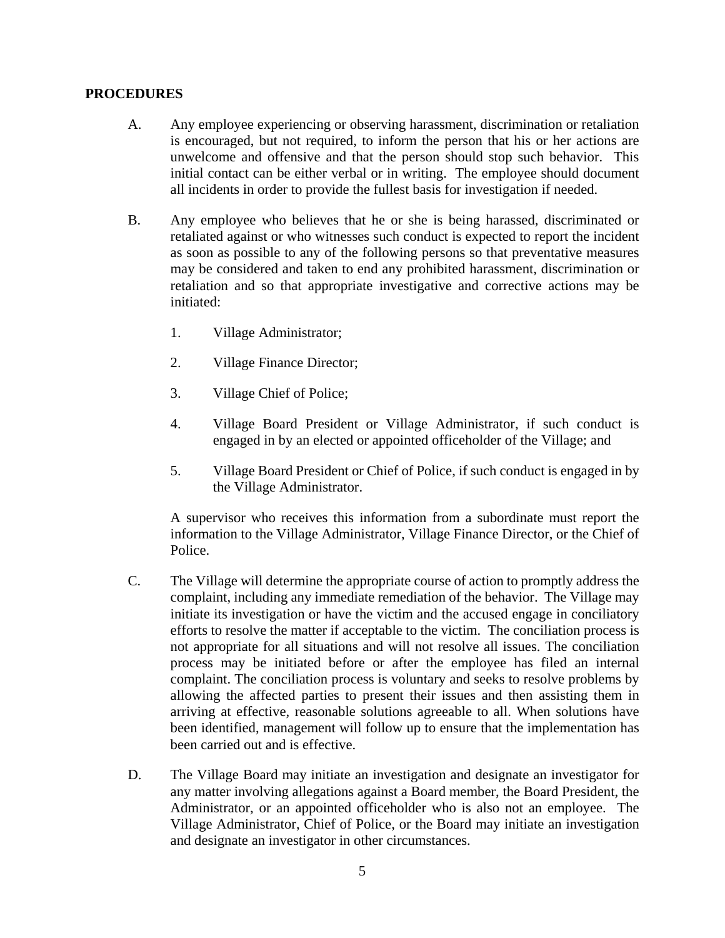#### **PROCEDURES**

- A. Any employee experiencing or observing harassment, discrimination or retaliation is encouraged, but not required, to inform the person that his or her actions are unwelcome and offensive and that the person should stop such behavior. This initial contact can be either verbal or in writing. The employee should document all incidents in order to provide the fullest basis for investigation if needed.
- B. Any employee who believes that he or she is being harassed, discriminated or retaliated against or who witnesses such conduct is expected to report the incident as soon as possible to any of the following persons so that preventative measures may be considered and taken to end any prohibited harassment, discrimination or retaliation and so that appropriate investigative and corrective actions may be initiated:
	- 1. Village Administrator;
	- 2. Village Finance Director;
	- 3. Village Chief of Police;
	- 4. Village Board President or Village Administrator, if such conduct is engaged in by an elected or appointed officeholder of the Village; and
	- 5. Village Board President or Chief of Police, if such conduct is engaged in by the Village Administrator.

A supervisor who receives this information from a subordinate must report the information to the Village Administrator, Village Finance Director, or the Chief of Police.

- C. The Village will determine the appropriate course of action to promptly address the complaint, including any immediate remediation of the behavior. The Village may initiate its investigation or have the victim and the accused engage in conciliatory efforts to resolve the matter if acceptable to the victim. The conciliation process is not appropriate for all situations and will not resolve all issues. The conciliation process may be initiated before or after the employee has filed an internal complaint. The conciliation process is voluntary and seeks to resolve problems by allowing the affected parties to present their issues and then assisting them in arriving at effective, reasonable solutions agreeable to all. When solutions have been identified, management will follow up to ensure that the implementation has been carried out and is effective.
- D. The Village Board may initiate an investigation and designate an investigator for any matter involving allegations against a Board member, the Board President, the Administrator, or an appointed officeholder who is also not an employee. The Village Administrator, Chief of Police, or the Board may initiate an investigation and designate an investigator in other circumstances.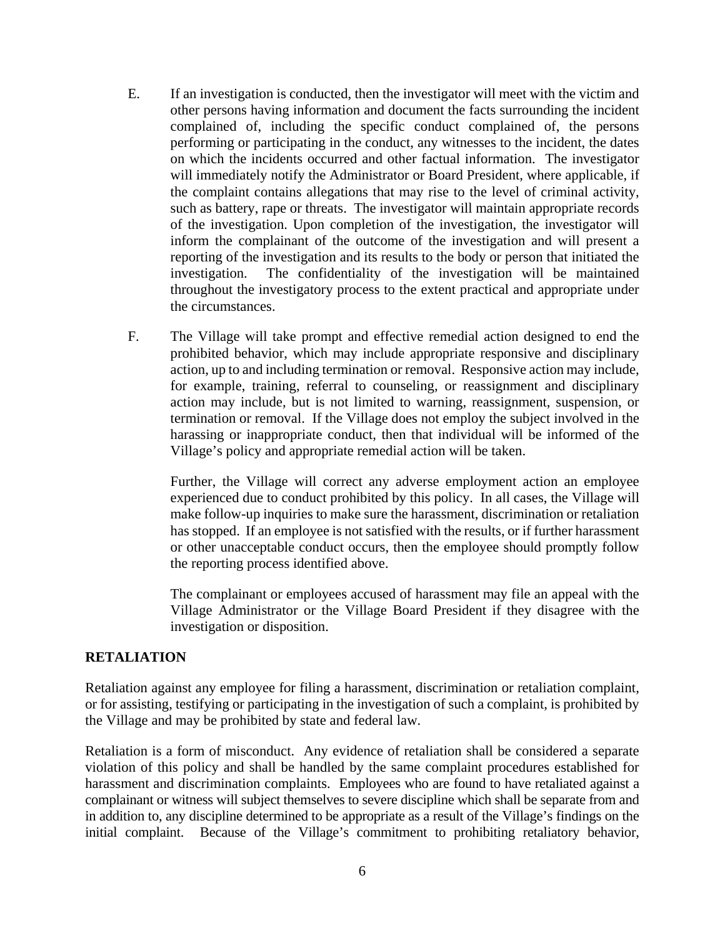- E. If an investigation is conducted, then the investigator will meet with the victim and other persons having information and document the facts surrounding the incident complained of, including the specific conduct complained of, the persons performing or participating in the conduct, any witnesses to the incident, the dates on which the incidents occurred and other factual information. The investigator will immediately notify the Administrator or Board President, where applicable, if the complaint contains allegations that may rise to the level of criminal activity, such as battery, rape or threats. The investigator will maintain appropriate records of the investigation. Upon completion of the investigation, the investigator will inform the complainant of the outcome of the investigation and will present a reporting of the investigation and its results to the body or person that initiated the investigation. The confidentiality of the investigation will be maintained throughout the investigatory process to the extent practical and appropriate under the circumstances.
- F. The Village will take prompt and effective remedial action designed to end the prohibited behavior, which may include appropriate responsive and disciplinary action, up to and including termination or removal. Responsive action may include, for example, training, referral to counseling, or reassignment and disciplinary action may include, but is not limited to warning, reassignment, suspension, or termination or removal. If the Village does not employ the subject involved in the harassing or inappropriate conduct, then that individual will be informed of the Village's policy and appropriate remedial action will be taken.

Further, the Village will correct any adverse employment action an employee experienced due to conduct prohibited by this policy. In all cases, the Village will make follow-up inquiries to make sure the harassment, discrimination or retaliation has stopped. If an employee is not satisfied with the results, or if further harassment or other unacceptable conduct occurs, then the employee should promptly follow the reporting process identified above.

The complainant or employees accused of harassment may file an appeal with the Village Administrator or the Village Board President if they disagree with the investigation or disposition.

#### **RETALIATION**

Retaliation against any employee for filing a harassment, discrimination or retaliation complaint, or for assisting, testifying or participating in the investigation of such a complaint, is prohibited by the Village and may be prohibited by state and federal law.

Retaliation is a form of misconduct. Any evidence of retaliation shall be considered a separate violation of this policy and shall be handled by the same complaint procedures established for harassment and discrimination complaints. Employees who are found to have retaliated against a complainant or witness will subject themselves to severe discipline which shall be separate from and in addition to, any discipline determined to be appropriate as a result of the Village's findings on the initial complaint. Because of the Village's commitment to prohibiting retaliatory behavior,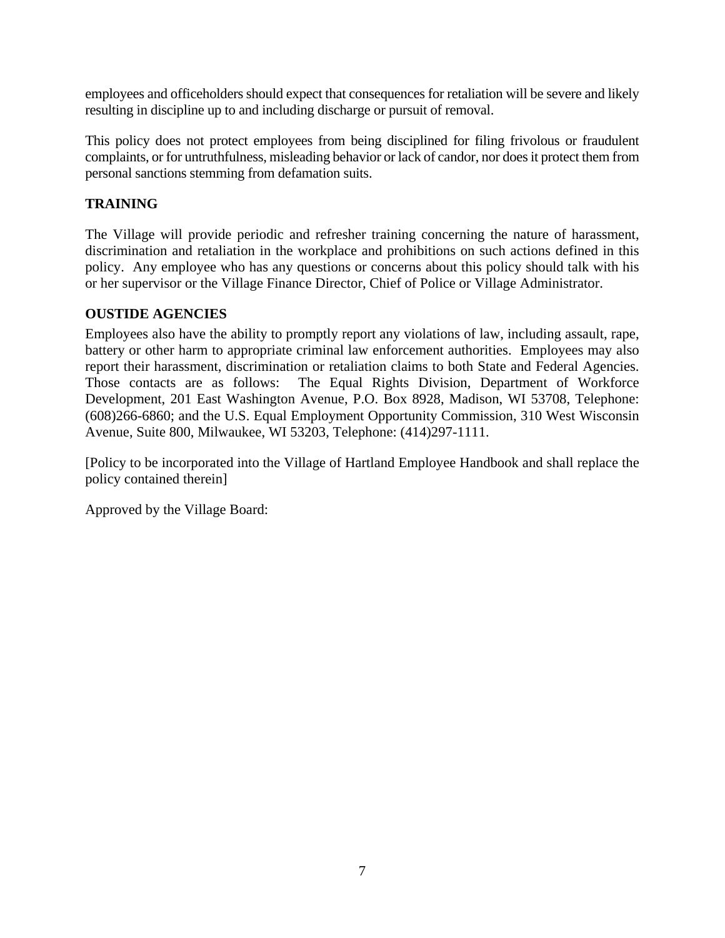employees and officeholders should expect that consequences for retaliation will be severe and likely resulting in discipline up to and including discharge or pursuit of removal.

This policy does not protect employees from being disciplined for filing frivolous or fraudulent complaints, or for untruthfulness, misleading behavior or lack of candor, nor does it protect them from personal sanctions stemming from defamation suits.

## **TRAINING**

The Village will provide periodic and refresher training concerning the nature of harassment, discrimination and retaliation in the workplace and prohibitions on such actions defined in this policy.Any employee who has any questions or concerns about this policy should talk with his or her supervisor or the Village Finance Director, Chief of Police or Village Administrator.

## **OUSTIDE AGENCIES**

Employees also have the ability to promptly report any violations of law, including assault, rape, battery or other harm to appropriate criminal law enforcement authorities. Employees may also report their harassment, discrimination or retaliation claims to both State and Federal Agencies. Those contacts are as follows: The Equal Rights Division, Department of Workforce Development, 201 East Washington Avenue, P.O. Box 8928, Madison, WI 53708, Telephone: (608)266-6860; and the U.S. Equal Employment Opportunity Commission, 310 West Wisconsin Avenue, Suite 800, Milwaukee, WI 53203, Telephone: (414)297-1111.

[Policy to be incorporated into the Village of Hartland Employee Handbook and shall replace the policy contained therein]

Approved by the Village Board: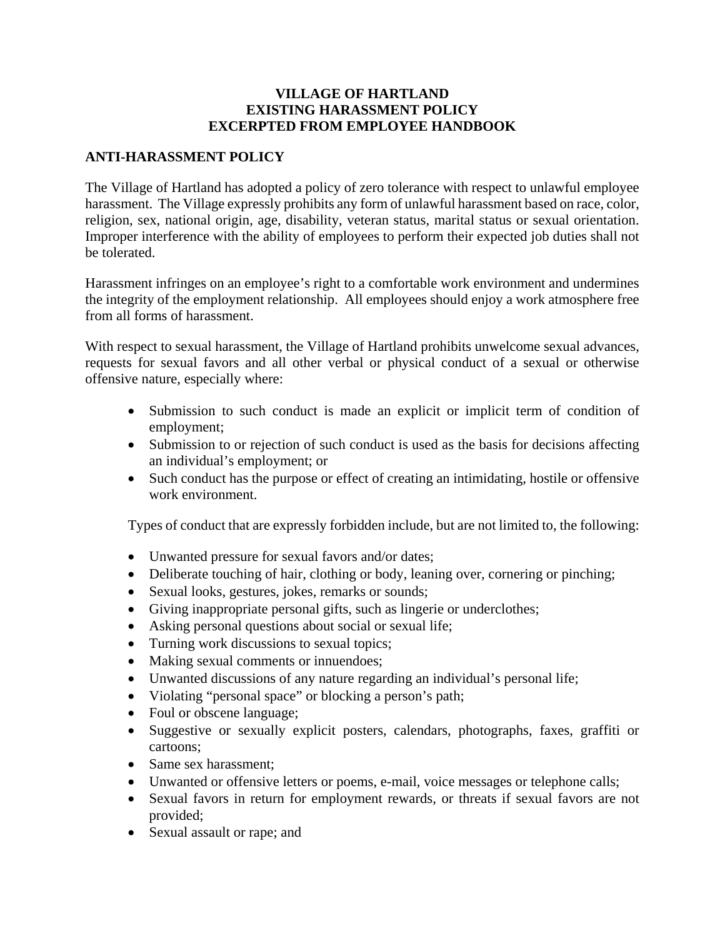#### **VILLAGE OF HARTLAND EXISTING HARASSMENT POLICY EXCERPTED FROM EMPLOYEE HANDBOOK**

## **ANTI-HARASSMENT POLICY**

The Village of Hartland has adopted a policy of zero tolerance with respect to unlawful employee harassment. The Village expressly prohibits any form of unlawful harassment based on race, color, religion, sex, national origin, age, disability, veteran status, marital status or sexual orientation. Improper interference with the ability of employees to perform their expected job duties shall not be tolerated.

Harassment infringes on an employee's right to a comfortable work environment and undermines the integrity of the employment relationship. All employees should enjoy a work atmosphere free from all forms of harassment.

With respect to sexual harassment, the Village of Hartland prohibits unwelcome sexual advances, requests for sexual favors and all other verbal or physical conduct of a sexual or otherwise offensive nature, especially where:

- Submission to such conduct is made an explicit or implicit term of condition of employment;
- Submission to or rejection of such conduct is used as the basis for decisions affecting an individual's employment; or
- Such conduct has the purpose or effect of creating an intimidating, hostile or offensive work environment.

Types of conduct that are expressly forbidden include, but are not limited to, the following:

- Unwanted pressure for sexual favors and/or dates;
- Deliberate touching of hair, clothing or body, leaning over, cornering or pinching;
- Sexual looks, gestures, jokes, remarks or sounds;
- Giving inappropriate personal gifts, such as lingerie or underclothes;
- Asking personal questions about social or sexual life;
- Turning work discussions to sexual topics;
- Making sexual comments or innuendoes;
- Unwanted discussions of any nature regarding an individual's personal life;
- Violating "personal space" or blocking a person's path;
- Foul or obscene language;
- Suggestive or sexually explicit posters, calendars, photographs, faxes, graffiti or cartoons;
- Same sex harassment;
- Unwanted or offensive letters or poems, e-mail, voice messages or telephone calls;
- Sexual favors in return for employment rewards, or threats if sexual favors are not provided;
- Sexual assault or rape; and